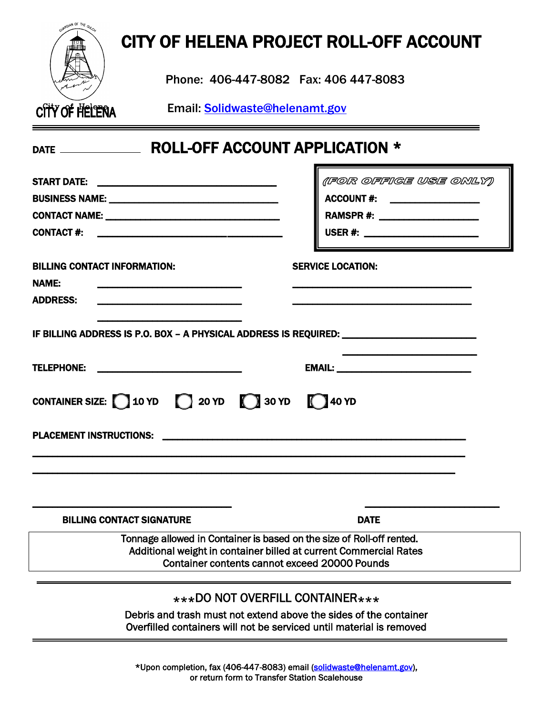|                                                                                                                                                                                                    | CITY OF HELENA PROJECT ROLL-OFF ACCOUNT                                                                                           |
|----------------------------------------------------------------------------------------------------------------------------------------------------------------------------------------------------|-----------------------------------------------------------------------------------------------------------------------------------|
| Phone: 406-447-8082  Fax: 406 447-8083                                                                                                                                                             |                                                                                                                                   |
| City of Helena Email: Solidwaste@helenamt.gov                                                                                                                                                      |                                                                                                                                   |
|                                                                                                                                                                                                    |                                                                                                                                   |
|                                                                                                                                                                                                    | (FOR OFFIGE USE ONLY)<br>ACCOUNT #: ___________________<br>RAMSPR #: _____________________<br>USER #: ___________________________ |
| <b>BILLING CONTACT INFORMATION:</b><br><b>NAME:</b><br><b>ADDRESS:</b>                                                                                                                             | <b>SERVICE LOCATION:</b>                                                                                                          |
| IF BILLING ADDRESS IS P.O. BOX - A PHYSICAL ADDRESS IS REQUIRED: ________________                                                                                                                  |                                                                                                                                   |
| CONTAINER SIZE: $10 YD$ 20 YD $120 YD$ 30 YD $140 YD$                                                                                                                                              |                                                                                                                                   |
| <b>PLACEMENT INSTRUCTIONS:</b>                                                                                                                                                                     |                                                                                                                                   |
| <b>BILLING CONTACT SIGNATURE</b>                                                                                                                                                                   | <b>DATE</b>                                                                                                                       |
| Tonnage allowed in Container is based on the size of Roll-off rented.<br>Additional weight in container billed at current Commercial Rates<br><b>Container contents cannot exceed 20000 Pounds</b> |                                                                                                                                   |
| ***DO NOT OVERFILL CONTAINER***<br>Debris and trash must not extend above the sides of the container<br>Overfilled containers will not be serviced until material is removed                       |                                                                                                                                   |

\*Upon completion, fax (406-447-8083) email [\(solidwaste@helenamt.gov\)](mailto:solidwaste@helenamt.gov), or return form to Transfer Station Scalehouse